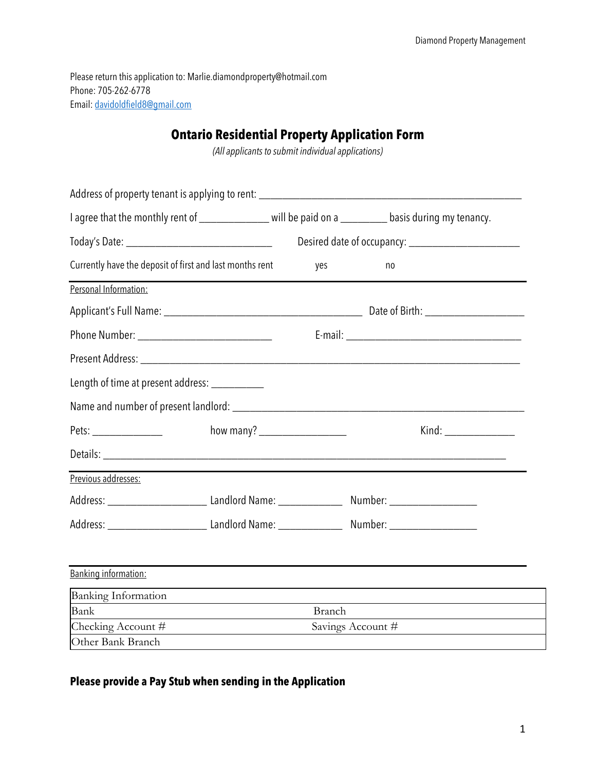Please return this application to: Marlie.diamondproperty@hotmail.com Phone: 705-262-6778 Email: davidoldfield8@gmail.com

## **Ontario Residential Property Application Form**

*(All applicants to submit individual applications)*

| I agree that the monthly rent of ______________ will be paid on a ________ basis during my tenancy. |                                         |     |                   |
|-----------------------------------------------------------------------------------------------------|-----------------------------------------|-----|-------------------|
|                                                                                                     |                                         |     |                   |
| Currently have the deposit of first and last months rent                                            |                                         | yes | no                |
| Personal Information:                                                                               |                                         |     |                   |
|                                                                                                     |                                         |     |                   |
|                                                                                                     |                                         |     |                   |
|                                                                                                     |                                         |     |                   |
| Length of time at present address: ___________                                                      |                                         |     |                   |
|                                                                                                     |                                         |     |                   |
|                                                                                                     |                                         |     |                   |
|                                                                                                     |                                         |     |                   |
| Previous addresses:                                                                                 |                                         |     |                   |
|                                                                                                     |                                         |     |                   |
|                                                                                                     |                                         |     |                   |
|                                                                                                     |                                         |     |                   |
| Banking information:                                                                                |                                         |     |                   |
| <b>Banking Information</b>                                                                          |                                         |     |                   |
| Bank                                                                                                | Branch                                  |     |                   |
| Checking Account #                                                                                  | <u> 1980 - Johann Barbara, martin a</u> |     | Savings Account # |
| Other Bank Branch                                                                                   |                                         |     |                   |

## **Please provide a Pay Stub when sending in the Application**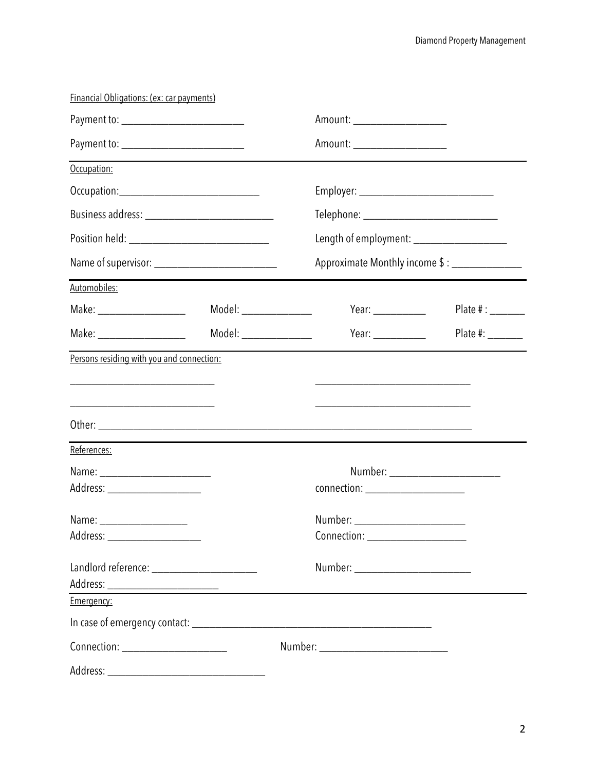| Financial Obligations: (ex: car payments)         |                       |                                                                                                                      |                                      |  |             |
|---------------------------------------------------|-----------------------|----------------------------------------------------------------------------------------------------------------------|--------------------------------------|--|-------------|
| Payment to: ____________________________          |                       | Amount: _____________________<br>Amount: _____________________                                                       |                                      |  |             |
|                                                   |                       |                                                                                                                      |                                      |  | Occupation: |
|                                                   |                       | Employer: _________________________________                                                                          |                                      |  |             |
| Position held: __________________________________ |                       | Telephone: _______________________________<br>Length of employment: ___________________                              |                                      |  |             |
|                                                   |                       |                                                                                                                      |                                      |  |             |
| Automobiles:                                      |                       |                                                                                                                      |                                      |  |             |
| Make: ______________________                      | Model: ______________ | Year: $\frac{1}{\sqrt{1-\frac{1}{2}}\cdot\frac{1}{2}}$                                                               | Plate $\#$ : ________                |  |             |
| Make: _______________________                     | Model: ______________ | Year: $\frac{1}{2}$                                                                                                  | Plate #: _______                     |  |             |
|                                                   |                       | <u> 1989 - Johann John Stone, market fan it ferstjer fan it ferstjer fan it ferstjer fan it ferstjer fan it fers</u> |                                      |  |             |
| References:                                       |                       |                                                                                                                      |                                      |  |             |
| Address: _____________________                    |                       | connection: ________________________                                                                                 |                                      |  |             |
| Address: _______________________                  |                       | Number: ________________________                                                                                     |                                      |  |             |
|                                                   |                       |                                                                                                                      |                                      |  |             |
| Emergency:                                        |                       |                                                                                                                      |                                      |  |             |
|                                                   |                       |                                                                                                                      |                                      |  |             |
| Connection: ________________________              |                       |                                                                                                                      | Number: ____________________________ |  |             |
|                                                   |                       |                                                                                                                      |                                      |  |             |